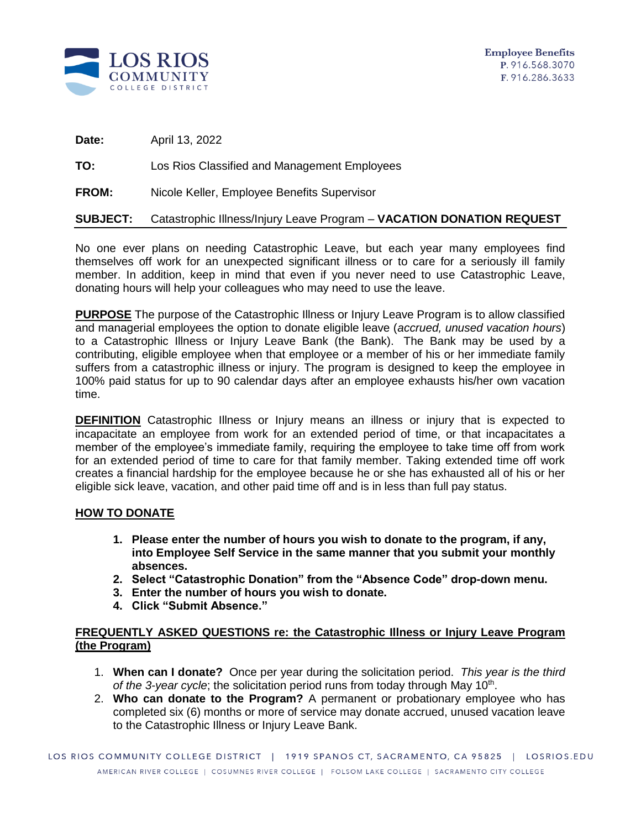

| Date: | April 13, 2022                               |
|-------|----------------------------------------------|
| TO:   | Los Rios Classified and Management Employees |

**FROM:** Nicole Keller, Employee Benefits Supervisor

## **SUBJECT:** Catastrophic Illness/Injury Leave Program – **VACATION DONATION REQUEST**

No one ever plans on needing Catastrophic Leave, but each year many employees find themselves off work for an unexpected significant illness or to care for a seriously ill family member. In addition, keep in mind that even if you never need to use Catastrophic Leave, donating hours will help your colleagues who may need to use the leave.

**PURPOSE** The purpose of the Catastrophic Illness or Injury Leave Program is to allow classified and managerial employees the option to donate eligible leave (*accrued, unused vacation hours*) to a Catastrophic Illness or Injury Leave Bank (the Bank). The Bank may be used by a contributing, eligible employee when that employee or a member of his or her immediate family suffers from a catastrophic illness or injury. The program is designed to keep the employee in 100% paid status for up to 90 calendar days after an employee exhausts his/her own vacation time.

**DEFINITION** Catastrophic Illness or Injury means an illness or injury that is expected to incapacitate an employee from work for an extended period of time, or that incapacitates a member of the employee's immediate family, requiring the employee to take time off from work for an extended period of time to care for that family member. Taking extended time off work creates a financial hardship for the employee because he or she has exhausted all of his or her eligible sick leave, vacation, and other paid time off and is in less than full pay status.

## **HOW TO DONATE**

- **1. Please enter the number of hours you wish to donate to the program, if any, into Employee Self Service in the same manner that you submit your monthly absences.**
- **2. Select "Catastrophic Donation" from the "Absence Code" drop-down menu.**
- **3. Enter the number of hours you wish to donate.**
- **4. Click "Submit Absence."**

## **FREQUENTLY ASKED QUESTIONS re: the Catastrophic Illness or Injury Leave Program (the Program)**

- 1. **When can I donate?** Once per year during the solicitation period. *This year is the third* of the 3-year cycle; the solicitation period runs from today through May 10<sup>th</sup>.
- 2. **Who can donate to the Program?** A permanent or probationary employee who has completed six (6) months or more of service may donate accrued, unused vacation leave to the Catastrophic Illness or Injury Leave Bank.